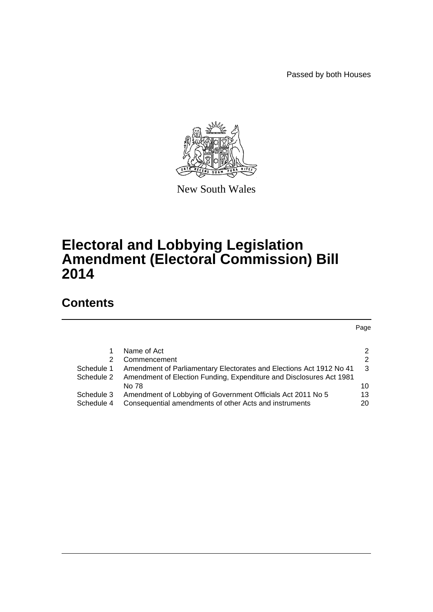Passed by both Houses



New South Wales

# **Electoral and Lobbying Legislation Amendment (Electoral Commission) Bill 2014**

# **Contents**

Page

|            | Name of Act                                                         | $\mathcal{P}$ |
|------------|---------------------------------------------------------------------|---------------|
| 2          | Commencement                                                        | 2             |
| Schedule 1 | Amendment of Parliamentary Electorates and Elections Act 1912 No 41 | -3            |
| Schedule 2 | Amendment of Election Funding, Expenditure and Disclosures Act 1981 |               |
|            | No 78                                                               | 10            |
| Schedule 3 | Amendment of Lobbying of Government Officials Act 2011 No 5         | 13            |
| Schedule 4 | Consequential amendments of other Acts and instruments              | 20            |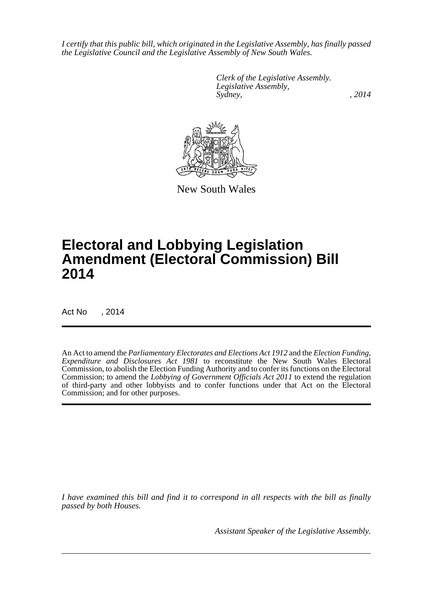*I certify that this public bill, which originated in the Legislative Assembly, has finally passed the Legislative Council and the Legislative Assembly of New South Wales.*

> *Clerk of the Legislative Assembly. Legislative Assembly, Sydney,* , 2014



New South Wales

# **Electoral and Lobbying Legislation Amendment (Electoral Commission) Bill 2014**

Act No , 2014

An Act to amend the *Parliamentary Electorates and Elections Act 1912* and the *Election Funding, Expenditure and Disclosures Act 1981* to reconstitute the New South Wales Electoral Commission, to abolish the Election Funding Authority and to confer its functions on the Electoral Commission; to amend the *Lobbying of Government Officials Act 2011* to extend the regulation of third-party and other lobbyists and to confer functions under that Act on the Electoral Commission; and for other purposes.

*I have examined this bill and find it to correspond in all respects with the bill as finally passed by both Houses.*

*Assistant Speaker of the Legislative Assembly.*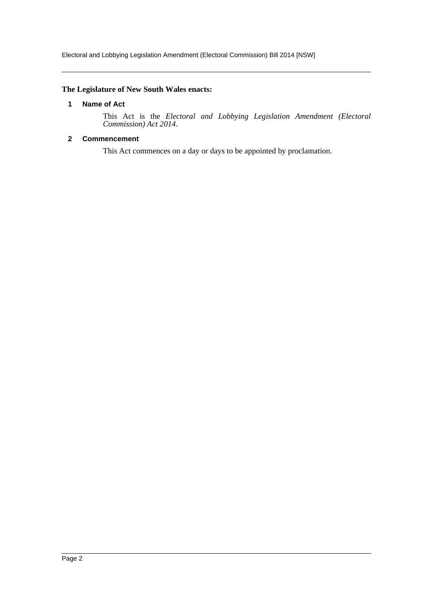## <span id="page-2-0"></span>**The Legislature of New South Wales enacts:**

#### **1 Name of Act**

This Act is the *Electoral and Lobbying Legislation Amendment (Electoral Commission) Act 2014*.

## <span id="page-2-1"></span>**2 Commencement**

This Act commences on a day or days to be appointed by proclamation.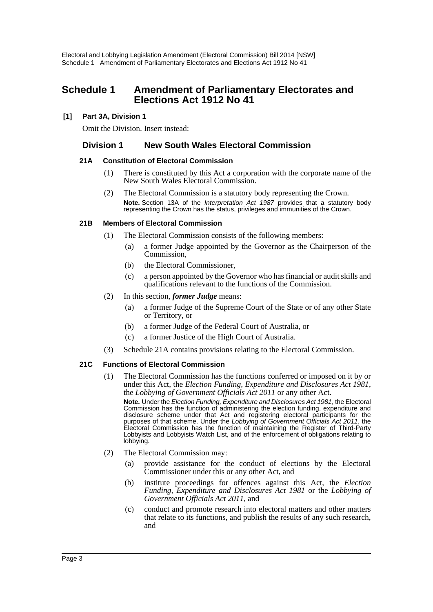## <span id="page-3-0"></span>**Schedule 1 Amendment of Parliamentary Electorates and Elections Act 1912 No 41**

## **[1] Part 3A, Division 1**

Omit the Division. Insert instead:

## **Division 1 New South Wales Electoral Commission**

#### **21A Constitution of Electoral Commission**

- (1) There is constituted by this Act a corporation with the corporate name of the New South Wales Electoral Commission.
- (2) The Electoral Commission is a statutory body representing the Crown. **Note.** Section 13A of the *Interpretation Act 1987* provides that a statutory body representing the Crown has the status, privileges and immunities of the Crown.

#### **21B Members of Electoral Commission**

- (1) The Electoral Commission consists of the following members:
	- (a) a former Judge appointed by the Governor as the Chairperson of the Commission,
	- (b) the Electoral Commissioner,
	- (c) a person appointed by the Governor who has financial or audit skills and qualifications relevant to the functions of the Commission.
- (2) In this section, *former Judge* means:
	- (a) a former Judge of the Supreme Court of the State or of any other State or Territory, or
	- (b) a former Judge of the Federal Court of Australia, or
	- (c) a former Justice of the High Court of Australia.
- (3) Schedule 21A contains provisions relating to the Electoral Commission.

## **21C Functions of Electoral Commission**

- (1) The Electoral Commission has the functions conferred or imposed on it by or under this Act, the *Election Funding, Expenditure and Disclosures Act 1981*, the *Lobbying of Government Officials Act 2011* or any other Act. **Note.** Under the *Election Funding, Expenditure and Disclosures Act 1981*, the Electoral Commission has the function of administering the election funding, expenditure and disclosure scheme under that Act and registering electoral participants for the purposes of that scheme. Under the *Lobbying of Government Officials Act 2011*, the Electoral Commission has the function of maintaining the Register of Third-Party Lobbyists and Lobbyists Watch List, and of the enforcement of obligations relating to lobbying.
- (2) The Electoral Commission may:
	- (a) provide assistance for the conduct of elections by the Electoral Commissioner under this or any other Act, and
	- (b) institute proceedings for offences against this Act, the *Election Funding, Expenditure and Disclosures Act 1981* or the *Lobbying of Government Officials Act 2011*, and
	- (c) conduct and promote research into electoral matters and other matters that relate to its functions, and publish the results of any such research, and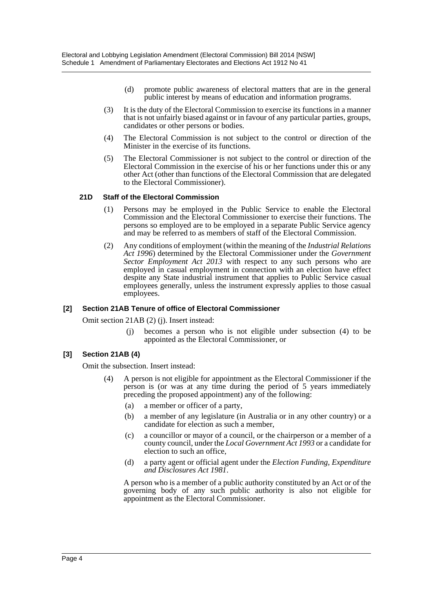- (d) promote public awareness of electoral matters that are in the general public interest by means of education and information programs.
- (3) It is the duty of the Electoral Commission to exercise its functions in a manner that is not unfairly biased against or in favour of any particular parties, groups, candidates or other persons or bodies.
- (4) The Electoral Commission is not subject to the control or direction of the Minister in the exercise of its functions.
- (5) The Electoral Commissioner is not subject to the control or direction of the Electoral Commission in the exercise of his or her functions under this or any other Act (other than functions of the Electoral Commission that are delegated to the Electoral Commissioner).

#### **21D Staff of the Electoral Commission**

- (1) Persons may be employed in the Public Service to enable the Electoral Commission and the Electoral Commissioner to exercise their functions. The persons so employed are to be employed in a separate Public Service agency and may be referred to as members of staff of the Electoral Commission.
- (2) Any conditions of employment (within the meaning of the *Industrial Relations Act 1996*) determined by the Electoral Commissioner under the *Government Sector Employment Act 2013* with respect to any such persons who are employed in casual employment in connection with an election have effect despite any State industrial instrument that applies to Public Service casual employees generally, unless the instrument expressly applies to those casual employees.

#### **[2] Section 21AB Tenure of office of Electoral Commissioner**

Omit section 21AB (2) (j). Insert instead:

becomes a person who is not eligible under subsection (4) to be appointed as the Electoral Commissioner, or

## **[3] Section 21AB (4)**

Omit the subsection. Insert instead:

- (4) A person is not eligible for appointment as the Electoral Commissioner if the person is (or was at any time during the period of 5 years immediately preceding the proposed appointment) any of the following:
	- (a) a member or officer of a party,
	- (b) a member of any legislature (in Australia or in any other country) or a candidate for election as such a member,
	- (c) a councillor or mayor of a council, or the chairperson or a member of a county council, under the *Local Government Act 1993* or a candidate for election to such an office,
	- (d) a party agent or official agent under the *Election Funding, Expenditure and Disclosures Act 1981*.

A person who is a member of a public authority constituted by an Act or of the governing body of any such public authority is also not eligible for appointment as the Electoral Commissioner.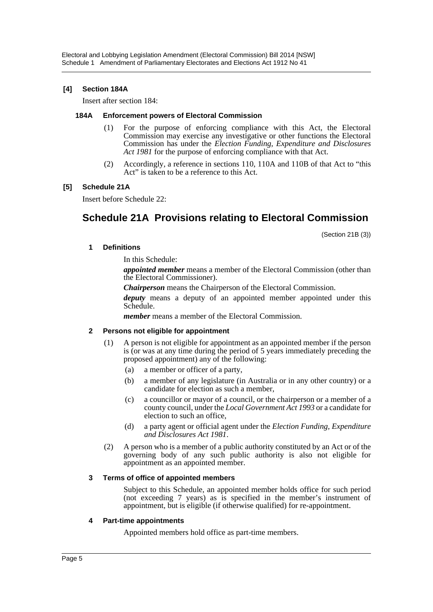### **[4] Section 184A**

Insert after section 184:

#### **184A Enforcement powers of Electoral Commission**

- (1) For the purpose of enforcing compliance with this Act, the Electoral Commission may exercise any investigative or other functions the Electoral Commission has under the *Election Funding, Expenditure and Disclosures Act 1981* for the purpose of enforcing compliance with that Act.
- (2) Accordingly, a reference in sections 110, 110A and 110B of that Act to "this Act" is taken to be a reference to this Act.

#### **[5] Schedule 21A**

Insert before Schedule 22:

## **Schedule 21A Provisions relating to Electoral Commission**

(Section 21B (3))

#### **1 Definitions**

In this Schedule:

*appointed member* means a member of the Electoral Commission (other than the Electoral Commissioner).

*Chairperson* means the Chairperson of the Electoral Commission.

*deputy* means a deputy of an appointed member appointed under this Schedule.

*member* means a member of the Electoral Commission.

#### **2 Persons not eligible for appointment**

- (1) A person is not eligible for appointment as an appointed member if the person is (or was at any time during the period of 5 years immediately preceding the proposed appointment) any of the following:
	- (a) a member or officer of a party,
	- (b) a member of any legislature (in Australia or in any other country) or a candidate for election as such a member,
	- (c) a councillor or mayor of a council, or the chairperson or a member of a county council, under the *Local Government Act 1993* or a candidate for election to such an office,
	- (d) a party agent or official agent under the *Election Funding, Expenditure and Disclosures Act 1981*.
- (2) A person who is a member of a public authority constituted by an Act or of the governing body of any such public authority is also not eligible for appointment as an appointed member.

#### **3 Terms of office of appointed members**

Subject to this Schedule, an appointed member holds office for such period (not exceeding 7 years) as is specified in the member's instrument of appointment, but is eligible (if otherwise qualified) for re-appointment.

#### **4 Part-time appointments**

Appointed members hold office as part-time members.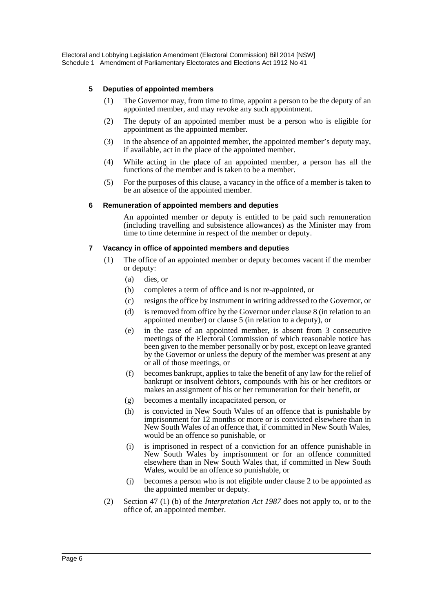#### **5 Deputies of appointed members**

- (1) The Governor may, from time to time, appoint a person to be the deputy of an appointed member, and may revoke any such appointment.
- (2) The deputy of an appointed member must be a person who is eligible for appointment as the appointed member.
- (3) In the absence of an appointed member, the appointed member's deputy may, if available, act in the place of the appointed member.
- (4) While acting in the place of an appointed member, a person has all the functions of the member and is taken to be a member.
- (5) For the purposes of this clause, a vacancy in the office of a member is taken to be an absence of the appointed member.

#### **6 Remuneration of appointed members and deputies**

An appointed member or deputy is entitled to be paid such remuneration (including travelling and subsistence allowances) as the Minister may from time to time determine in respect of the member or deputy.

#### **7 Vacancy in office of appointed members and deputies**

- (1) The office of an appointed member or deputy becomes vacant if the member or deputy:
	- (a) dies, or
	- (b) completes a term of office and is not re-appointed, or
	- (c) resigns the office by instrument in writing addressed to the Governor, or
	- (d) is removed from office by the Governor under clause 8 (in relation to an appointed member) or clause 5 (in relation to a deputy), or
	- (e) in the case of an appointed member, is absent from 3 consecutive meetings of the Electoral Commission of which reasonable notice has been given to the member personally or by post, except on leave granted by the Governor or unless the deputy of the member was present at any or all of those meetings, or
	- (f) becomes bankrupt, applies to take the benefit of any law for the relief of bankrupt or insolvent debtors, compounds with his or her creditors or makes an assignment of his or her remuneration for their benefit, or
	- (g) becomes a mentally incapacitated person, or
	- (h) is convicted in New South Wales of an offence that is punishable by imprisonment for 12 months or more or is convicted elsewhere than in New South Wales of an offence that, if committed in New South Wales, would be an offence so punishable, or
	- (i) is imprisoned in respect of a conviction for an offence punishable in New South Wales by imprisonment or for an offence committed elsewhere than in New South Wales that, if committed in New South Wales, would be an offence so punishable, or
	- (j) becomes a person who is not eligible under clause 2 to be appointed as the appointed member or deputy.
- (2) Section 47 (1) (b) of the *Interpretation Act 1987* does not apply to, or to the office of, an appointed member.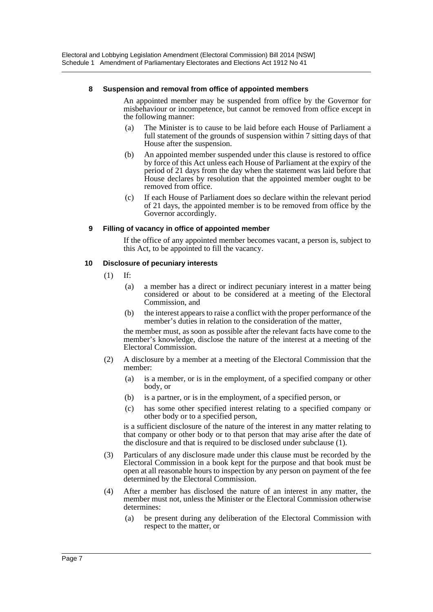#### **8 Suspension and removal from office of appointed members**

An appointed member may be suspended from office by the Governor for misbehaviour or incompetence, but cannot be removed from office except in the following manner:

- (a) The Minister is to cause to be laid before each House of Parliament a full statement of the grounds of suspension within 7 sitting days of that House after the suspension.
- (b) An appointed member suspended under this clause is restored to office by force of this Act unless each House of Parliament at the expiry of the period of 21 days from the day when the statement was laid before that House declares by resolution that the appointed member ought to be removed from office.
- (c) If each House of Parliament does so declare within the relevant period of 21 days, the appointed member is to be removed from office by the Governor accordingly.

#### **9 Filling of vacancy in office of appointed member**

If the office of any appointed member becomes vacant, a person is, subject to this Act, to be appointed to fill the vacancy.

#### **10 Disclosure of pecuniary interests**

- $(1)$  If:
	- (a) a member has a direct or indirect pecuniary interest in a matter being considered or about to be considered at a meeting of the Electoral Commission, and
	- (b) the interest appears to raise a conflict with the proper performance of the member's duties in relation to the consideration of the matter,

the member must, as soon as possible after the relevant facts have come to the member's knowledge, disclose the nature of the interest at a meeting of the Electoral Commission.

- (2) A disclosure by a member at a meeting of the Electoral Commission that the member:
	- (a) is a member, or is in the employment, of a specified company or other body, or
	- (b) is a partner, or is in the employment, of a specified person, or
	- (c) has some other specified interest relating to a specified company or other body or to a specified person,

is a sufficient disclosure of the nature of the interest in any matter relating to that company or other body or to that person that may arise after the date of the disclosure and that is required to be disclosed under subclause (1).

- (3) Particulars of any disclosure made under this clause must be recorded by the Electoral Commission in a book kept for the purpose and that book must be open at all reasonable hours to inspection by any person on payment of the fee determined by the Electoral Commission.
- (4) After a member has disclosed the nature of an interest in any matter, the member must not, unless the Minister or the Electoral Commission otherwise determines:
	- (a) be present during any deliberation of the Electoral Commission with respect to the matter, or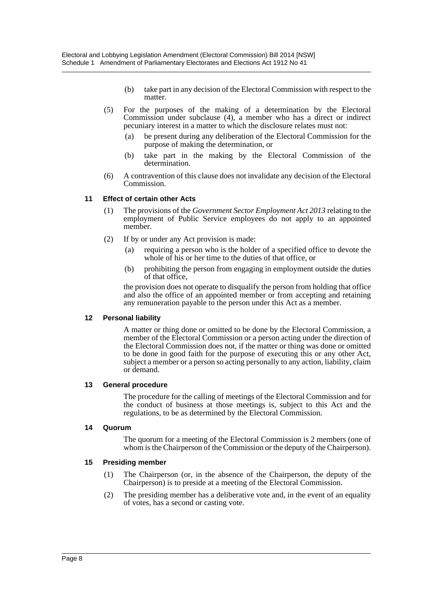- (b) take part in any decision of the Electoral Commission with respect to the matter.
- (5) For the purposes of the making of a determination by the Electoral Commission under subclause (4), a member who has a direct or indirect pecuniary interest in a matter to which the disclosure relates must not:
	- (a) be present during any deliberation of the Electoral Commission for the purpose of making the determination, or
	- (b) take part in the making by the Electoral Commission of the determination.
- (6) A contravention of this clause does not invalidate any decision of the Electoral Commission.

#### **11 Effect of certain other Acts**

- (1) The provisions of the *Government Sector Employment Act 2013* relating to the employment of Public Service employees do not apply to an appointed member.
- (2) If by or under any Act provision is made:
	- (a) requiring a person who is the holder of a specified office to devote the whole of his or her time to the duties of that office, or
	- (b) prohibiting the person from engaging in employment outside the duties of that office,

the provision does not operate to disqualify the person from holding that office and also the office of an appointed member or from accepting and retaining any remuneration payable to the person under this Act as a member.

#### **12 Personal liability**

A matter or thing done or omitted to be done by the Electoral Commission, a member of the Electoral Commission or a person acting under the direction of the Electoral Commission does not, if the matter or thing was done or omitted to be done in good faith for the purpose of executing this or any other Act, subject a member or a person so acting personally to any action, liability, claim or demand.

#### **13 General procedure**

The procedure for the calling of meetings of the Electoral Commission and for the conduct of business at those meetings is, subject to this Act and the regulations, to be as determined by the Electoral Commission.

#### **14 Quorum**

The quorum for a meeting of the Electoral Commission is 2 members (one of whom is the Chairperson of the Commission or the deputy of the Chairperson).

#### **15 Presiding member**

- (1) The Chairperson (or, in the absence of the Chairperson, the deputy of the Chairperson) is to preside at a meeting of the Electoral Commission.
- (2) The presiding member has a deliberative vote and, in the event of an equality of votes, has a second or casting vote.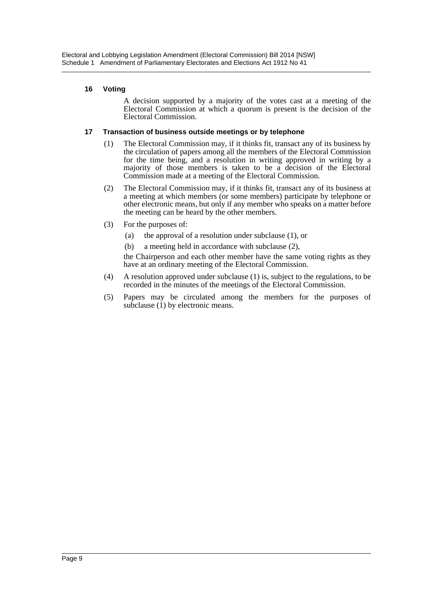### **16 Voting**

A decision supported by a majority of the votes cast at a meeting of the Electoral Commission at which a quorum is present is the decision of the Electoral Commission.

#### **17 Transaction of business outside meetings or by telephone**

- (1) The Electoral Commission may, if it thinks fit, transact any of its business by the circulation of papers among all the members of the Electoral Commission for the time being, and a resolution in writing approved in writing by a majority of those members is taken to be a decision of the Electoral Commission made at a meeting of the Electoral Commission.
- (2) The Electoral Commission may, if it thinks fit, transact any of its business at a meeting at which members (or some members) participate by telephone or other electronic means, but only if any member who speaks on a matter before the meeting can be heard by the other members.
- (3) For the purposes of:
	- (a) the approval of a resolution under subclause (1), or
	- (b) a meeting held in accordance with subclause (2),

the Chairperson and each other member have the same voting rights as they have at an ordinary meeting of the Electoral Commission.

- (4) A resolution approved under subclause (1) is, subject to the regulations, to be recorded in the minutes of the meetings of the Electoral Commission.
- (5) Papers may be circulated among the members for the purposes of subclause  $(1)$  by electronic means.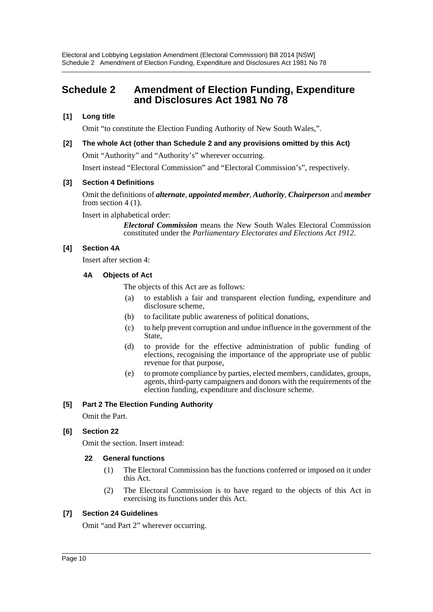## <span id="page-10-0"></span>**Schedule 2 Amendment of Election Funding, Expenditure and Disclosures Act 1981 No 78**

## **[1] Long title**

Omit "to constitute the Election Funding Authority of New South Wales,".

**[2] The whole Act (other than Schedule 2 and any provisions omitted by this Act)** Omit "Authority" and "Authority's" wherever occurring. Insert instead "Electoral Commission" and "Electoral Commission's", respectively.

## **[3] Section 4 Definitions**

Omit the definitions of *alternate*, *appointed member*, *Authority*, *Chairperson* and *member* from section 4 (1).

Insert in alphabetical order:

*Electoral Commission* means the New South Wales Electoral Commission constituted under the *Parliamentary Electorates and Elections Act 1912*.

#### **[4] Section 4A**

Insert after section 4:

#### **4A Objects of Act**

The objects of this Act are as follows:

- (a) to establish a fair and transparent election funding, expenditure and disclosure scheme,
- (b) to facilitate public awareness of political donations,
- (c) to help prevent corruption and undue influence in the government of the State,
- (d) to provide for the effective administration of public funding of elections, recognising the importance of the appropriate use of public revenue for that purpose,
- (e) to promote compliance by parties, elected members, candidates, groups, agents, third-party campaigners and donors with the requirements of the election funding, expenditure and disclosure scheme.

## **[5] Part 2 The Election Funding Authority**

Omit the Part.

## **[6] Section 22**

Omit the section. Insert instead:

#### **22 General functions**

- (1) The Electoral Commission has the functions conferred or imposed on it under this Act.
- (2) The Electoral Commission is to have regard to the objects of this Act in exercising its functions under this Act.

#### **[7] Section 24 Guidelines**

Omit "and Part 2" wherever occurring.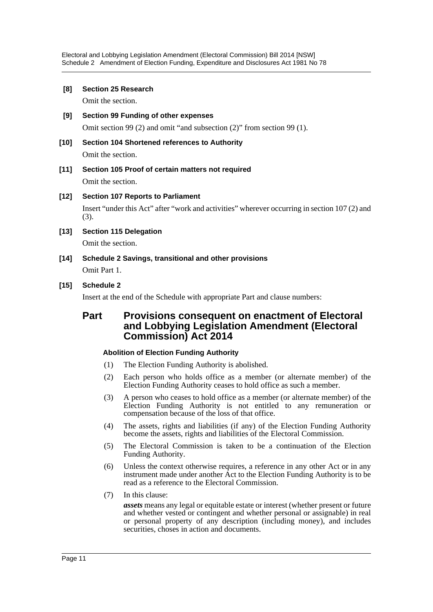Electoral and Lobbying Legislation Amendment (Electoral Commission) Bill 2014 [NSW] Schedule 2 Amendment of Election Funding, Expenditure and Disclosures Act 1981 No 78

#### **[8] Section 25 Research**

Omit the section.

- **[9] Section 99 Funding of other expenses** Omit section 99 (2) and omit "and subsection (2)" from section 99 (1).
- **[10] Section 104 Shortened references to Authority**

Omit the section.

- **[11] Section 105 Proof of certain matters not required** Omit the section.
- **[12] Section 107 Reports to Parliament** Insert "under this Act" after "work and activities" wherever occurring in section 107 (2) and (3).
- **[13] Section 115 Delegation**

Omit the section.

- **[14] Schedule 2 Savings, transitional and other provisions** Omit Part 1.
- **[15] Schedule 2**

Insert at the end of the Schedule with appropriate Part and clause numbers:

## **Part Provisions consequent on enactment of Electoral and Lobbying Legislation Amendment (Electoral Commission) Act 2014**

#### **Abolition of Election Funding Authority**

- (1) The Election Funding Authority is abolished.
- (2) Each person who holds office as a member (or alternate member) of the Election Funding Authority ceases to hold office as such a member.
- (3) A person who ceases to hold office as a member (or alternate member) of the Election Funding Authority is not entitled to any remuneration or compensation because of the loss of that office.
- (4) The assets, rights and liabilities (if any) of the Election Funding Authority become the assets, rights and liabilities of the Electoral Commission.
- (5) The Electoral Commission is taken to be a continuation of the Election Funding Authority.
- (6) Unless the context otherwise requires, a reference in any other Act or in any instrument made under another Act to the Election Funding Authority is to be read as a reference to the Electoral Commission.
- (7) In this clause:

*assets* means any legal or equitable estate or interest (whether present or future and whether vested or contingent and whether personal or assignable) in real or personal property of any description (including money), and includes securities, choses in action and documents.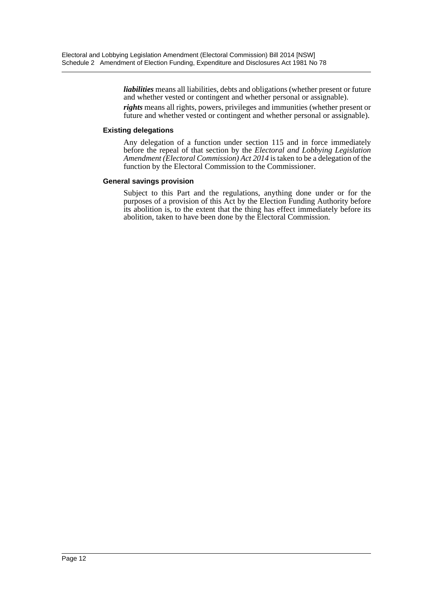*liabilities* means all liabilities, debts and obligations (whether present or future and whether vested or contingent and whether personal or assignable).

*rights* means all rights, powers, privileges and immunities (whether present or future and whether vested or contingent and whether personal or assignable).

#### **Existing delegations**

Any delegation of a function under section 115 and in force immediately before the repeal of that section by the *Electoral and Lobbying Legislation Amendment (Electoral Commission) Act 2014* is taken to be a delegation of the function by the Electoral Commission to the Commissioner.

#### **General savings provision**

Subject to this Part and the regulations, anything done under or for the purposes of a provision of this Act by the Election Funding Authority before its abolition is, to the extent that the thing has effect immediately before its abolition, taken to have been done by the Electoral Commission.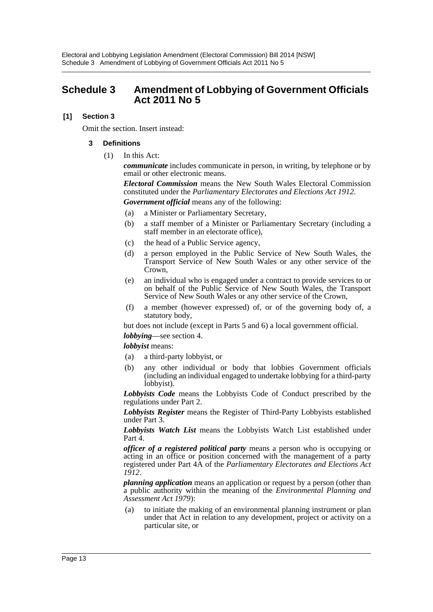## <span id="page-13-0"></span>**Schedule 3 Amendment of Lobbying of Government Officials Act 2011 No 5**

### **[1] Section 3**

Omit the section. Insert instead:

#### **3 Definitions**

(1) In this Act:

*communicate* includes communicate in person, in writing, by telephone or by email or other electronic means.

*Electoral Commission* means the New South Wales Electoral Commission constituted under the *Parliamentary Electorates and Elections Act 1912*.

- *Government official* means any of the following:
- (a) a Minister or Parliamentary Secretary,
- (b) a staff member of a Minister or Parliamentary Secretary (including a staff member in an electorate office),
- (c) the head of a Public Service agency,
- (d) a person employed in the Public Service of New South Wales, the Transport Service of New South Wales or any other service of the Crown,
- (e) an individual who is engaged under a contract to provide services to or on behalf of the Public Service of New South Wales, the Transport Service of New South Wales or any other service of the Crown,
- (f) a member (however expressed) of, or of the governing body of, a statutory body,

but does not include (except in Parts 5 and 6) a local government official.

*lobbying*—see section 4.

*lobbyist* means:

- (a) a third-party lobbyist, or
- (b) any other individual or body that lobbies Government officials (including an individual engaged to undertake lobbying for a third-party lobbyist).

*Lobbyists Code* means the Lobbyists Code of Conduct prescribed by the regulations under Part 2.

*Lobbyists Register* means the Register of Third-Party Lobbyists established under Part 3.

*Lobbyists Watch List* means the Lobbyists Watch List established under Part 4.

*officer of a registered political party* means a person who is occupying or acting in an office or position concerned with the management of a party registered under Part 4A of the *Parliamentary Electorates and Elections Act 1912*.

*planning application* means an application or request by a person (other than a public authority within the meaning of the *Environmental Planning and Assessment Act 1979*):

(a) to initiate the making of an environmental planning instrument or plan under that Act in relation to any development, project or activity on a particular site, or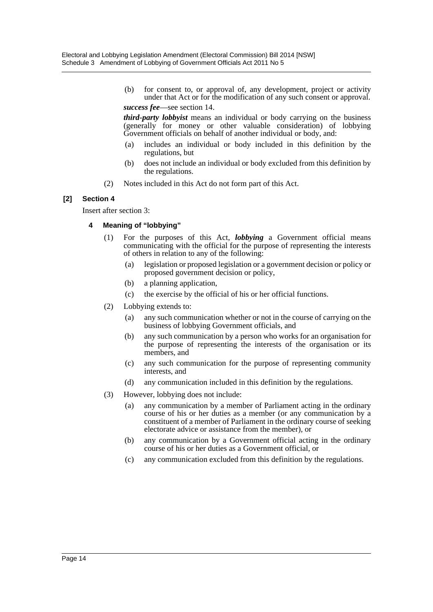(b) for consent to, or approval of, any development, project or activity under that Act or for the modification of any such consent or approval.

*success fee*—see section 14.

*third-party lobbyist* means an individual or body carrying on the business (generally for money or other valuable consideration) of lobbying Government officials on behalf of another individual or body, and:

- (a) includes an individual or body included in this definition by the regulations, but
- (b) does not include an individual or body excluded from this definition by the regulations.
- (2) Notes included in this Act do not form part of this Act.

#### **[2] Section 4**

Insert after section 3:

#### **4 Meaning of "lobbying"**

- (1) For the purposes of this Act, *lobbying* a Government official means communicating with the official for the purpose of representing the interests of others in relation to any of the following:
	- (a) legislation or proposed legislation or a government decision or policy or proposed government decision or policy,
	- (b) a planning application,
	- (c) the exercise by the official of his or her official functions.
- (2) Lobbying extends to:
	- (a) any such communication whether or not in the course of carrying on the business of lobbying Government officials, and
	- (b) any such communication by a person who works for an organisation for the purpose of representing the interests of the organisation or its members, and
	- (c) any such communication for the purpose of representing community interests, and
	- (d) any communication included in this definition by the regulations.
- (3) However, lobbying does not include:
	- (a) any communication by a member of Parliament acting in the ordinary course of his or her duties as a member (or any communication by a constituent of a member of Parliament in the ordinary course of seeking electorate advice or assistance from the member), or
	- (b) any communication by a Government official acting in the ordinary course of his or her duties as a Government official, or
	- (c) any communication excluded from this definition by the regulations.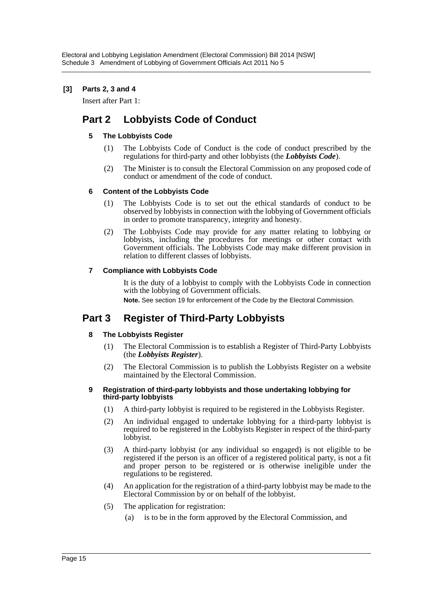## **[3] Parts 2, 3 and 4**

Insert after Part 1:

## **Part 2 Lobbyists Code of Conduct**

## **5 The Lobbyists Code**

- (1) The Lobbyists Code of Conduct is the code of conduct prescribed by the regulations for third-party and other lobbyists (the *Lobbyists Code*).
- (2) The Minister is to consult the Electoral Commission on any proposed code of conduct or amendment of the code of conduct.

## **6 Content of the Lobbyists Code**

- (1) The Lobbyists Code is to set out the ethical standards of conduct to be observed by lobbyists in connection with the lobbying of Government officials in order to promote transparency, integrity and honesty.
- (2) The Lobbyists Code may provide for any matter relating to lobbying or lobbyists, including the procedures for meetings or other contact with Government officials. The Lobbyists Code may make different provision in relation to different classes of lobbyists.

## **7 Compliance with Lobbyists Code**

It is the duty of a lobbyist to comply with the Lobbyists Code in connection with the lobbying of Government officials.

**Note.** See section 19 for enforcement of the Code by the Electoral Commission.

## **Part 3 Register of Third-Party Lobbyists**

## **8 The Lobbyists Register**

- (1) The Electoral Commission is to establish a Register of Third-Party Lobbyists (the *Lobbyists Register*).
- (2) The Electoral Commission is to publish the Lobbyists Register on a website maintained by the Electoral Commission.

#### **9 Registration of third-party lobbyists and those undertaking lobbying for third-party lobbyists**

- (1) A third-party lobbyist is required to be registered in the Lobbyists Register.
- (2) An individual engaged to undertake lobbying for a third-party lobbyist is required to be registered in the Lobbyists Register in respect of the third-party lobbyist.
- (3) A third-party lobbyist (or any individual so engaged) is not eligible to be registered if the person is an officer of a registered political party, is not a fit and proper person to be registered or is otherwise ineligible under the regulations to be registered.
- (4) An application for the registration of a third-party lobbyist may be made to the Electoral Commission by or on behalf of the lobbyist.
- (5) The application for registration:
	- (a) is to be in the form approved by the Electoral Commission, and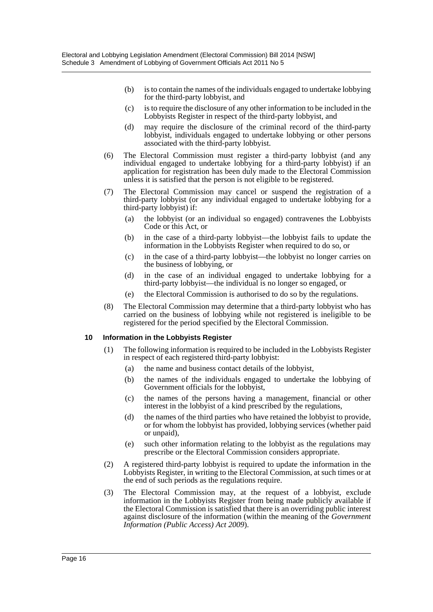- (b) is to contain the names of the individuals engaged to undertake lobbying for the third-party lobbyist, and
- (c) is to require the disclosure of any other information to be included in the Lobbyists Register in respect of the third-party lobbyist, and
- (d) may require the disclosure of the criminal record of the third-party lobbyist, individuals engaged to undertake lobbying or other persons associated with the third-party lobbyist.
- (6) The Electoral Commission must register a third-party lobbyist (and any individual engaged to undertake lobbying for a third-party lobbyist) if an application for registration has been duly made to the Electoral Commission unless it is satisfied that the person is not eligible to be registered.
- (7) The Electoral Commission may cancel or suspend the registration of a third-party lobbyist (or any individual engaged to undertake lobbying for a third-party lobbyist) if:
	- (a) the lobbyist (or an individual so engaged) contravenes the Lobbyists Code or this Act, or
	- (b) in the case of a third-party lobbyist—the lobbyist fails to update the information in the Lobbyists Register when required to do so, or
	- (c) in the case of a third-party lobbyist—the lobbyist no longer carries on the business of lobbying, or
	- (d) in the case of an individual engaged to undertake lobbying for a third-party lobbyist—the individual is no longer so engaged, or
	- (e) the Electoral Commission is authorised to do so by the regulations.
- (8) The Electoral Commission may determine that a third-party lobbyist who has carried on the business of lobbying while not registered is ineligible to be registered for the period specified by the Electoral Commission.

#### **10 Information in the Lobbyists Register**

- (1) The following information is required to be included in the Lobbyists Register in respect of each registered third-party lobbyist:
	- (a) the name and business contact details of the lobbyist,
	- (b) the names of the individuals engaged to undertake the lobbying of Government officials for the lobbyist,
	- (c) the names of the persons having a management, financial or other interest in the lobbyist of a kind prescribed by the regulations,
	- (d) the names of the third parties who have retained the lobbyist to provide, or for whom the lobbyist has provided, lobbying services (whether paid or unpaid),
	- (e) such other information relating to the lobbyist as the regulations may prescribe or the Electoral Commission considers appropriate.
- (2) A registered third-party lobbyist is required to update the information in the Lobbyists Register, in writing to the Electoral Commission, at such times or at the end of such periods as the regulations require.
- (3) The Electoral Commission may, at the request of a lobbyist, exclude information in the Lobbyists Register from being made publicly available if the Electoral Commission is satisfied that there is an overriding public interest against disclosure of the information (within the meaning of the *Government Information (Public Access) Act 2009*).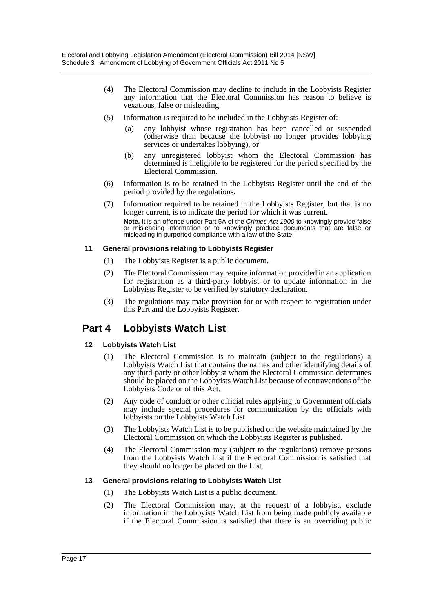- (4) The Electoral Commission may decline to include in the Lobbyists Register any information that the Electoral Commission has reason to believe is vexatious, false or misleading.
- (5) Information is required to be included in the Lobbyists Register of:
	- (a) any lobbyist whose registration has been cancelled or suspended (otherwise than because the lobbyist no longer provides lobbying services or undertakes lobbying), or
	- (b) any unregistered lobbyist whom the Electoral Commission has determined is ineligible to be registered for the period specified by the Electoral Commission.
- (6) Information is to be retained in the Lobbyists Register until the end of the period provided by the regulations.
- (7) Information required to be retained in the Lobbyists Register, but that is no longer current, is to indicate the period for which it was current. **Note.** It is an offence under Part 5A of the *Crimes Act 1900* to knowingly provide false or misleading information or to knowingly produce documents that are false or misleading in purported compliance with a law of the State.

#### **11 General provisions relating to Lobbyists Register**

- (1) The Lobbyists Register is a public document.
- (2) The Electoral Commission may require information provided in an application for registration as a third-party lobbyist or to update information in the Lobbyists Register to be verified by statutory declaration.
- (3) The regulations may make provision for or with respect to registration under this Part and the Lobbyists Register.

## **Part 4 Lobbyists Watch List**

## **12 Lobbyists Watch List**

- (1) The Electoral Commission is to maintain (subject to the regulations) a Lobbyists Watch List that contains the names and other identifying details of any third-party or other lobbyist whom the Electoral Commission determines should be placed on the Lobbyists Watch List because of contraventions of the Lobbyists Code or of this Act.
- (2) Any code of conduct or other official rules applying to Government officials may include special procedures for communication by the officials with lobbyists on the Lobbyists Watch List.
- (3) The Lobbyists Watch List is to be published on the website maintained by the Electoral Commission on which the Lobbyists Register is published.
- (4) The Electoral Commission may (subject to the regulations) remove persons from the Lobbyists Watch List if the Electoral Commission is satisfied that they should no longer be placed on the List.

## **13 General provisions relating to Lobbyists Watch List**

- (1) The Lobbyists Watch List is a public document.
- (2) The Electoral Commission may, at the request of a lobbyist, exclude information in the Lobbyists Watch List from being made publicly available if the Electoral Commission is satisfied that there is an overriding public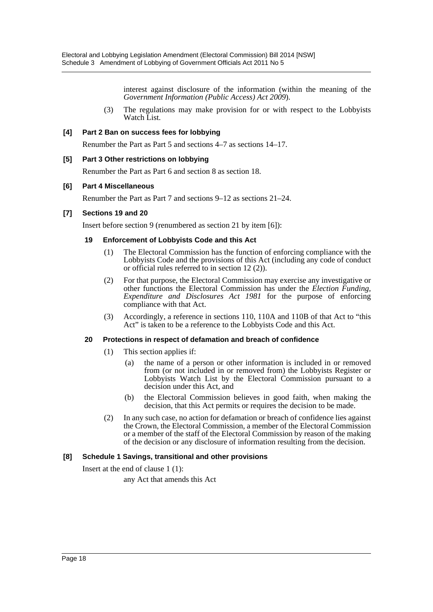interest against disclosure of the information (within the meaning of the *Government Information (Public Access) Act 2009*).

(3) The regulations may make provision for or with respect to the Lobbyists Watch List.

#### **[4] Part 2 Ban on success fees for lobbying**

Renumber the Part as Part 5 and sections 4–7 as sections 14–17.

#### **[5] Part 3 Other restrictions on lobbying**

Renumber the Part as Part 6 and section 8 as section 18.

#### **[6] Part 4 Miscellaneous**

Renumber the Part as Part 7 and sections 9–12 as sections 21–24.

#### **[7] Sections 19 and 20**

Insert before section 9 (renumbered as section 21 by item [6]):

#### **19 Enforcement of Lobbyists Code and this Act**

- (1) The Electoral Commission has the function of enforcing compliance with the Lobbyists Code and the provisions of this Act (including any code of conduct or official rules referred to in section 12 (2)).
- (2) For that purpose, the Electoral Commission may exercise any investigative or other functions the Electoral Commission has under the *Election Funding, Expenditure and Disclosures Act 1981* for the purpose of enforcing compliance with that Act.
- (3) Accordingly, a reference in sections 110, 110A and 110B of that Act to "this Act" is taken to be a reference to the Lobbyists Code and this Act.

#### **20 Protections in respect of defamation and breach of confidence**

- (1) This section applies if:
	- (a) the name of a person or other information is included in or removed from (or not included in or removed from) the Lobbyists Register or Lobbyists Watch List by the Electoral Commission pursuant to a decision under this Act, and
	- (b) the Electoral Commission believes in good faith, when making the decision, that this Act permits or requires the decision to be made.
- (2) In any such case, no action for defamation or breach of confidence lies against the Crown, the Electoral Commission, a member of the Electoral Commission or a member of the staff of the Electoral Commission by reason of the making of the decision or any disclosure of information resulting from the decision.

## **[8] Schedule 1 Savings, transitional and other provisions**

Insert at the end of clause 1 (1):

any Act that amends this Act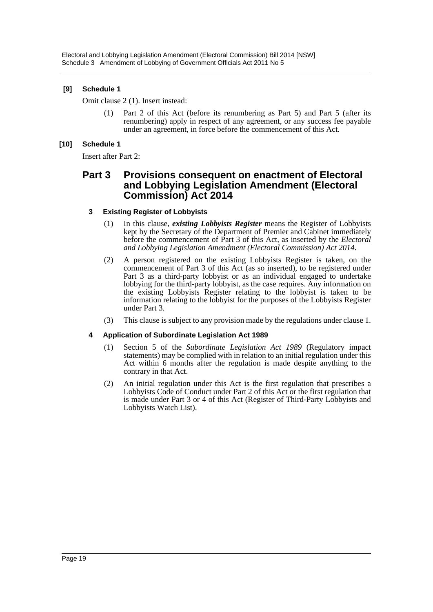## **[9] Schedule 1**

Omit clause 2 (1). Insert instead:

(1) Part 2 of this Act (before its renumbering as Part 5) and Part 5 (after its renumbering) apply in respect of any agreement, or any success fee payable under an agreement, in force before the commencement of this Act.

## **[10] Schedule 1**

Insert after Part 2:

## **Part 3 Provisions consequent on enactment of Electoral and Lobbying Legislation Amendment (Electoral Commission) Act 2014**

#### **3 Existing Register of Lobbyists**

- (1) In this clause, *existing Lobbyists Register* means the Register of Lobbyists kept by the Secretary of the Department of Premier and Cabinet immediately before the commencement of Part 3 of this Act, as inserted by the *Electoral and Lobbying Legislation Amendment (Electoral Commission) Act 2014*.
- (2) A person registered on the existing Lobbyists Register is taken, on the commencement of Part 3 of this Act (as so inserted), to be registered under Part 3 as a third-party lobbyist or as an individual engaged to undertake lobbying for the third-party lobbyist, as the case requires. Any information on the existing Lobbyists Register relating to the lobbyist is taken to be information relating to the lobbyist for the purposes of the Lobbyists Register under Part 3.
- (3) This clause is subject to any provision made by the regulations under clause 1.

## **4 Application of Subordinate Legislation Act 1989**

- (1) Section 5 of the *Subordinate Legislation Act 1989* (Regulatory impact statements) may be complied with in relation to an initial regulation under this Act within 6 months after the regulation is made despite anything to the contrary in that Act.
- (2) An initial regulation under this Act is the first regulation that prescribes a Lobbyists Code of Conduct under Part 2 of this Act or the first regulation that is made under Part 3 or 4 of this Act (Register of Third-Party Lobbyists and Lobbyists Watch List).